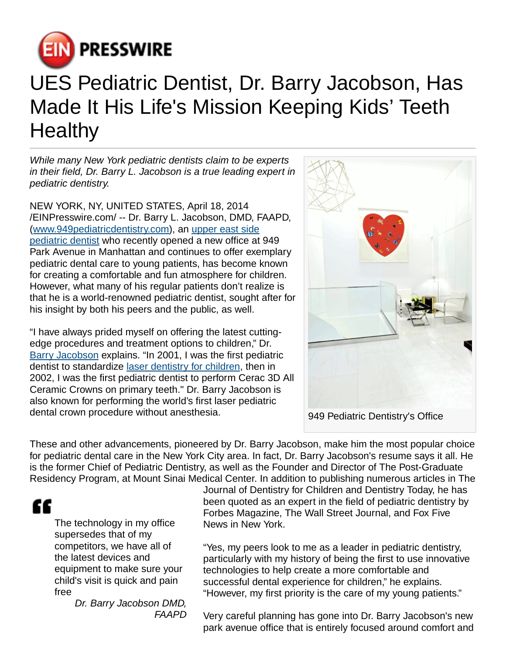

## UES Pediatric Dentist, Dr. Barry Jacobson, Has Made It His Life's Mission Keeping Kids' Teeth **Healthy**

While many New York pediatric dentists claim to be experts in their field, Dr. Barry L. Jacobson is a true leading expert in pediatric dentistry.

NEW YORK, NY, UNITED STATES, April 18, 2014 [/EINPresswire.com](http://www.einpresswire.com)/ -- Dr. Barry L. Jacobson, DMD, FAAPD, ([www.949pediatricdentistry.com\)](http://www.949pediatricdentistry.com), an [upper east side](http://www.949pediatricdentistry.com) [pediatric dentist](http://www.949pediatricdentistry.com) who recently opened a new office at 949 Park Avenue in Manhattan and continues to offer exemplary pediatric dental care to young patients, has become known for creating a comfortable and fun atmosphere for children. However, what many of his regular patients don't realize is that he is a world-renowned pediatric dentist, sought after for his insight by both his peers and the public, as well.

"I have always prided myself on offering the latest cuttingedge procedures and treatment options to children," Dr. [Barry Jacobson](http://www.949pediatricdentistry.com) explains. "In 2001, I was the first pediatric dentist to standardize [laser dentistry for children,](http://www.949pediatricdentistry.com) then in 2002, I was the first pediatric dentist to perform Cerac 3D All Ceramic Crowns on primary teeth." Dr. Barry Jacobson is also known for performing the world's first laser pediatric dental crown procedure without anesthesia.



These and other advancements, pioneered by Dr. Barry Jacobson, make him the most popular choice for pediatric dental care in the New York City area. In fact, Dr. Barry Jacobson's resume says it all. He is the former Chief of Pediatric Dentistry, as well as the Founder and Director of The Post-Graduate Residency Program, at Mount Sinai Medical Center. In addition to publishing numerous articles in The

"

The technology in my office supersedes that of my competitors, we have all of the latest devices and equipment to make sure your child's visit is quick and pain free

Dr. Barry Jacobson DMD, FAAPD Journal of Dentistry for Children and Dentistry Today, he has been quoted as an expert in the field of pediatric dentistry by Forbes Magazine, The Wall Street Journal, and Fox Five News in New York.

"Yes, my peers look to me as a leader in pediatric dentistry, particularly with my history of being the first to use innovative technologies to help create a more comfortable and successful dental experience for children," he explains. "However, my first priority is the care of my young patients."

Very careful planning has gone into Dr. Barry Jacobson's new park avenue office that is entirely focused around comfort and